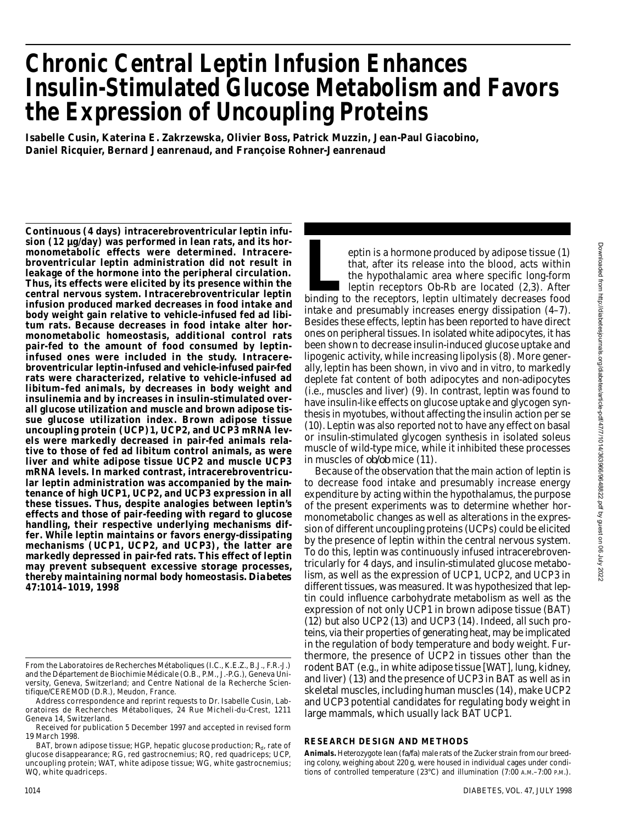# **Chronic Central Leptin Infusion Enhances Insulin-Stimulated Glucose Metabolism and Favors the Expression of Uncoupling Proteins**

**Isabelle Cusin, Katerina E. Zakrzewska, Olivier Boss, Patrick Muzzin, Jean-Paul Giacobino, Daniel Ricquier, Bernard Jeanrenaud, and Françoise Rohner-Jeanrenaud** 

**Continuous (4 days) intracerebroventricular leptin infusion (12 µg/day) was performed in lean rats, and its hormonometabolic effects were determined. Intracerebroventricular leptin administration did not result in leakage of the hormone into the peripheral circulation. Thus, its effects were elicited by its presence within the central nervous system. Intracerebroventricular leptin infusion produced marked decreases in food intake and body weight gain relative to vehicle-infused fed ad libitum rats. Because decreases in food intake alter hormonometabolic homeostasis, additional control rats** pair-fed to the amount of food consumed by leptin**infused ones were included in the study. Intracerebroventricular leptin-infused and vehicle-infused pair-fed rats were characterized, relative to vehicle-infused ad libitum–fed animals, by decreases in body weight and insulinemia and by increases in insulin-stimulated overall glucose utilization and muscle and brown adipose tissue glucose utilization index. Brown adipose tissue uncoupling protein (UCP)1, UCP2, and UCP3 mRNA levels were markedly decreased in pair-fed animals relative to those of fed ad libitum control animals, as were liver and white adipose tissue UCP2 and muscle UCP3 mRNA levels. In marked contrast, intracerebroventricular leptin administration was accompanied by the maintenance of high UCP1, UCP2, and UCP3 expression in all these tissues. Thus, despite analogies between leptin's effects and those of pair-feeding with regard to glucose handling, their respective underlying mechanisms differ. While leptin maintains or favors energy-dissipating mechanisms (UCP1, UCP2, and UCP3), the latter are markedly depressed in pair-fed rats. This effect of leptin may prevent subsequent excessive storage processes, thereby maintaining normal body homeostasis. Diabetes 47:1014–1019, 1998**

eptin is a hormone produced by adipose tissue (1)<br>
that, after its release into the blood, acts within<br>
the hypothalamic area where specific long-form<br>
leptin receptors Ob-Rb are located (2,3). After<br>
binding to the recept eptin is a hormone produced by adipose tissue (1) that, after its release into the blood, acts within the hypothalamic area where specific long-form leptin receptors Ob-Rb are located (2,3). After intake and presumably increases energy dissipation (4–7). Besides these effects, leptin has been reported to have direct ones on peripheral tissues. In isolated white adipocytes, it has been shown to decrease insulin-induced glucose uptake and lipogenic activity, while increasing lipolysis (8). More generally, leptin has been shown, in vivo and in vitro, to markedly deplete fat content of both adipocytes and non-adipocytes (i.e., muscles and liver) (9). In contrast, leptin was found to have insulin-like effects on glucose uptake and glycogen synthesis in myotubes, without affecting the insulin action per se (10). Leptin was also reported not to have any effect on basal or insulin-stimulated glycogen synthesis in isolated soleus muscle of wild-type mice, while it inhibited these processes in muscles of  $ob/b$  mice (11).

Because of the observation that the main action of leptin is to decrease food intake and presumably increase energy expenditure by acting within the hypothalamus, the purpose of the present experiments was to determine whether hormonometabolic changes as well as alterations in the expression of different uncoupling proteins (UCPs) could be elicited by the presence of leptin within the central nervous system. To do this, leptin was continuously infused intracerebroventricularly for 4 days, and insulin-stimulated glucose metabolism, as well as the expression of UCP1, UCP2, and UCP3 in different tissues, was measured. It was hypothesized that leptin could influence carbohydrate metabolism as well as the expression of not only UCP1 in brown adipose tissue (BAT) (12) but also UCP2 (13) and UCP3 (14). Indeed, all such proteins, via their properties of generating heat, may be implicated in the regulation of body temperature and body weight. Furthermore, the presence of UCP2 in tissues other than the rodent BAT (e.g., in white adipose tissue [WAT], lung, kidney, and liver) (13) and the presence of UCP3 in BAT as well as in skeletal muscles, including human muscles (14), make UCP2 and UCP3 potential candidates for regulating body weight in large mammals, which usually lack BAT UCP1.

# **RESEARCH DESIGN AND METHODS**

Animals. Heterozygote lean (*fa/fa*) male rats of the Zucker strain from our breeding colony, weighing about 220 g, were housed in individual cages under conditions of controlled temperature (23°C) and illumination (7:00 A.M.–7:00 P.M.).

From the Laboratoires de Recherches Métaboliques (I.C., K.E.Z., B.J., F.R.-J.) and the Département de Biochimie Médicale (O.B., P.M., J.-P.G.), Geneva University, Geneva, Switzerland; and Centre National de la Recherche Scientifique/CEREMOD (D.R.), Meudon, France.

Address correspondence and reprint requests to Dr. Isabelle Cusin, Laboratoires de Recherches Métaboliques, 24 Rue Micheli-du-Crest, 1211 Geneva 14, Switzerland.

Received for publication 5 December 1997 and accepted in revised form 19 March 1998.

BAT, brown adipose tissue; HGP, hepatic glucose production;  $R_{\sf d}$ , rate of glucose disappearance; RG, red gastrocnemius; RQ, red quadriceps; UCP, uncoupling protein; WAT, white adipose tissue; WG, white gastrocnemius; WQ, white quadriceps.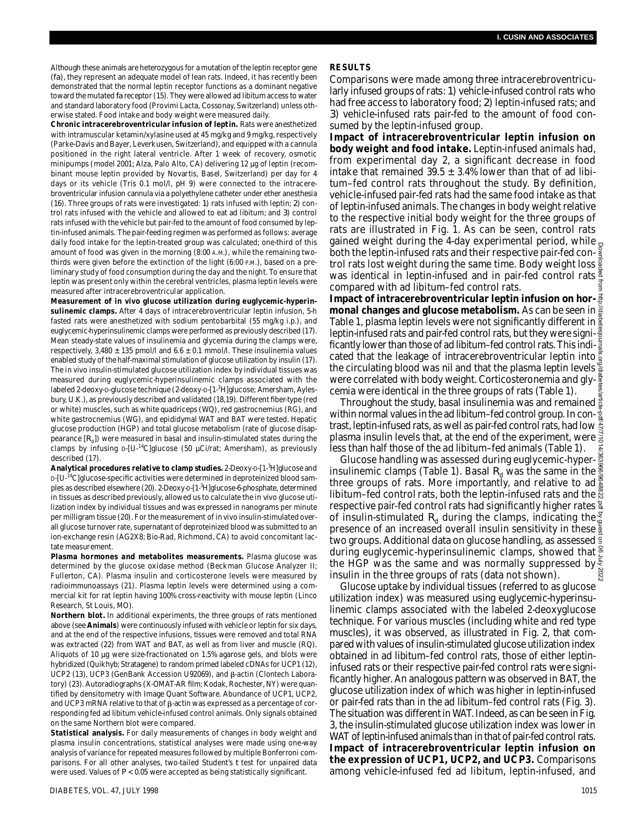Although these animals are heterozygous for a mutation of the leptin receptor gene (*fa*), they represent an adequate model of lean rats. Indeed, it has recently been demonstrated that the normal leptin receptor functions as a dominant negative toward the mutated *fa* receptor (15). They were allowed ad libitum access to water and standard laboratory food (Provimi Lacta, Cossonay, Switzerland) unless otherwise stated. Food intake and body weight were measured daily.

**Chronic intracerebroventricular infusion of leptin.** Rats were anesthetized with intramuscular ketamin/xylasine used at 45 mg/kg and 9 mg/kg, respectively (Parke-Davis and Bayer, Leverkusen, Switzerland), and equipped with a cannula positioned in the right lateral ventricle. After 1 week of recovery, osmotic minipumps (model 2001; Alza, Palo Alto, CA) delivering 12 µg of leptin (recombinant mouse leptin provided by Novartis, Basel, Switzerland) per day for 4 days or its vehicle (Tris 0.1 mol/l, pH 9) were connected to the intracerebroventricular infusion cannula via a polyethylene catheter under ether anesthesia (16). Three groups of rats were investigated: *1*) rats infused with leptin; *2*) control rats infused with the vehicle and allowed to eat ad libitum; and *3*) control rats infused with the vehicle but pair-fed to the amount of food consumed by leptin-infused animals. The pair-feeding regimen was performed as follows: average daily food intake for the leptin-treated group was calculated; one-third of this amount of food was given in the morning (8:00 A.M.), while the remaining twothirds were given before the extinction of the light (6:00 P.M.), based on a preliminary study of food consumption during the day and the night. To ensure that leptin was present only within the cerebral ventricles, plasma leptin levels were measured after intracerebroventricular application.

**Measurement of in vivo glucose utilization during euglycemic-hyperinsulinemic clamps.** After 4 days of intracerebroventricular leptin infusion, 5-h fasted rats were anesthetized with sodium pentobarbital (55 mg/kg i.p.), and euglycemic-hyperinsulinemic clamps were performed as previously described (17). Mean steady-state values of insulinemia and glycemia during the clamps were, respectively, 3,480  $\pm$  135 pmol/l and 6.6  $\pm$  0.1 mmol/l. These insulinemia values enabled study of the half-maximal stimulation of glucose utilization by insulin (17). The in vivo insulin-stimulated glucose utilization index by individual tissues was measured during euglycemic-hyperinsulinemic clamps associated with the labeled 2-deoxy-D-glucose technique (2-deoxy-D-[1-3H]glucose; Amersham, Aylesbury, U.K.), as previously described and validated (18,19). Different fiber-type (red or white) muscles, such as white quadriceps (WQ), red gastrocnemius (RG), and white gastrocnemius (WG), and epididymal WAT and BAT were tested. Hepatic glucose production (HGP) and total glucose metabolism (rate of glucose disappearance  $\left[R_{\text{d}}\right]$ ) were measured in basal and insulin-stimulated states during the clamps by infusing D-[U-<sup>14</sup>C]glucose (50 µCi/rat; Amersham), as previously described (17).

Analytical procedures relative to clamp studies. 2-Deoxy-D-[1-<sup>3</sup>H]glucose and D-[U-<sup>14</sup>C]glucose-specific activities were determined in deproteinized blood samples as described elsewhere (20). 2-Deoxy-D-[1-<sup>3</sup>H]glucose-6-phosphate, determined in tissues as described previously, allowed us to calculate the in vivo glucose utilization index by individual tissues and was expressed in nanograms per minute per milligram tissue (20). For the measurement of in vivo insulin-stimulated overall glucose turnover rate, supernatant of deproteinized blood was submitted to an ion-exchange resin (AG2X8; Bio-Rad, Richmond, CA) to avoid concomitant lactate measurement.

**Plasma hormones and metabolites measurements.** Plasma glucose was determined by the glucose oxidase method (Beckman Glucose Analyzer II; Fullerton, CA). Plasma insulin and corticosterone levels were measured by radioimmunoassays (21). Plasma leptin levels were determined using a commercial kit for rat leptin having 100% cross-reactivity with mouse leptin (Linco Research, St Louis, MO).

**Northern blot.** In additional experiments, the three groups of rats mentioned above (see **Animals**) were continuously infused with vehicle or leptin for six days, and at the end of the respective infusions, tissues were removed and total RNA was extracted (22) from WAT and BAT, as well as from liver and muscle (RQ). Aliquots of 10 µg were size-fractionated on 1.5% agarose gels, and blots were hybridized (Quikhyb; Stratagene) to random primed labeled cDNAs for UCP1 (12), UCP2 (13), UCP3 (GenBank Accession U92069), and  $\beta$ -actin (Clontech Laboratory) (23). Autoradiographs (X-OMAT-AR film; Kodak, Rochester, NY) were quantified by densitometry with Image Quant Software. Abundance of UCP1, UCP2, and UCP3 mRNA relative to that of  $\beta$ -actin was expressed as a percentage of corresponding fed ad libitum vehicle-infused control animals. Only signals obtained on the same Northern blot were compared.

**Statistical analysis.** For daily measurements of changes in body weight and plasma insulin concentrations, statistical analyses were made using one-way analysis of variance for repeated measures followed by multiple Bonferroni comparisons. For all other analyses, two-tailed Student's *t* test for unpaired data were used. Values of  $P < 0.05$  were accepted as being statistically significant.

#### **R E S U LT S**

Comparisons were made among three intracerebroventricularly infused groups of rats: *1*) vehicle-infused control rats who had free access to laboratory food; *2*) leptin-infused rats; and *3*) vehicle-infused rats pair-fed to the amount of food consumed by the leptin-infused group.

**Impact of intracerebroventricular leptin infusion on body weight and food intake.**Leptin-infused animals had, from experimental day 2, a significant decrease in food intake that remained  $39.5 \pm 3.4\%$  lower than that of ad libitum–fed control rats throughout the study. By definition, vehicle-infused pair-fed rats had the same food intake as that of leptin-infused animals. The changes in body weight relative to the respective initial body weight for the three groups of rats are illustrated in Fig. 1. As can be seen, control rats gained weight during the 4-day experimental period, while  $_{\mathcal{Q}}$ both the leptin-infused rats and their respective pair-fed control rats lost weight during the same time. Body weight loss  $\frac{5}{8}$ was identical in leptin-infused and in pair-fed control rats  $\frac{8}{4}$ compared with ad libitum–fed control rats.

**Impact of intracerebroventricular leptin infusion on hormonal changes and glucose metabolism.** As can be seen in Table 1, plasma leptin levels were not significantly different in  $\frac{\pi}{2}$ leptin-infused rats and pair-fed control rats, but they were significantly lower than those of ad libitum–fed control rats. This indicated that the leakage of intracerebroventricular leptin into the circulating blood was nil and that the plasma leptin levels were correlated with body weight. Corticosteronemia and glycemia were identical in the three groups of rats (Table 1).

Throughout the study, basal insulinemia was and remained  $\frac{2}{5}$ within normal values in the ad libitum–fed control group. In contrast, leptin-infused rats, as well as pair-fed control rats, had low  $\frac{\pi}{2}$ plasma insulin levels that, at the end of the experiment, were less than half those of the ad libitum–fed animals (Table 1).

Glucose handling was assessed during euglycemic-hyperinsulinemic clamps (Table 1). Basal  $R_{\rm d}$  was the same in the  $\frac{8}{3}$ three groups of rats. More importantly, and relative to ad  $\frac{8}{9}$ libitum–fed control rats, both the leptin-infused rats and the  $\frac{\aleph}{\aleph}$ respective pair-fed control rats had significantly higher rates  $\frac{a}{4}$ of insulin-stimulated  $R_{d}$  during the clamps, indicating the  $\frac{8}{6}$ presence of an increased overall insulin sensitivity in these  $\frac{5}{2}$ two groups. Additional data on glucose handling, as assessed <sup>9</sup> during euglycemic-hyperinsulinemic clamps, showed that  $\frac{8}{6}$ the HGP was the same and was normally suppressed by  $\frac{1}{2}$ insulin in the three groups of rats (data not shown). Downloaded from http://diabetesjournals.org/diabetes/article-pdf/47/7/1014/363966/9648822.pdf by guest on 06 July 2022

Glucose uptake by individual tissues (referred to as glucose utilization index) was measured using euglycemic-hyperinsulinemic clamps associated with the labeled 2-deoxyglucose technique. For various muscles (including white and red type muscles), it was observed, as illustrated in Fig. 2, that compared with values of insulin-stimulated glucose utilization index obtained in ad libitum–fed control rats, those of either leptininfused rats or their respective pair-fed control rats were significantly higher. An analogous pattern was observed in BAT, the glucose utilization index of which was higher in leptin-infused or pair-fed rats than in the ad libitum–fed control rats (Fig. 3). The situation was different in WAT. Indeed, as can be seen in Fig. 3, the insulin-stimulated glucose utilization index was lower in WAT of leptin-infused animals than in that of pair-fed control rats. **Impact of intracerebroventricular leptin infusion on the expression of UCP1, UCP2, and UCP3.** Comparisons among vehicle-infused fed ad libitum, leptin-infused, and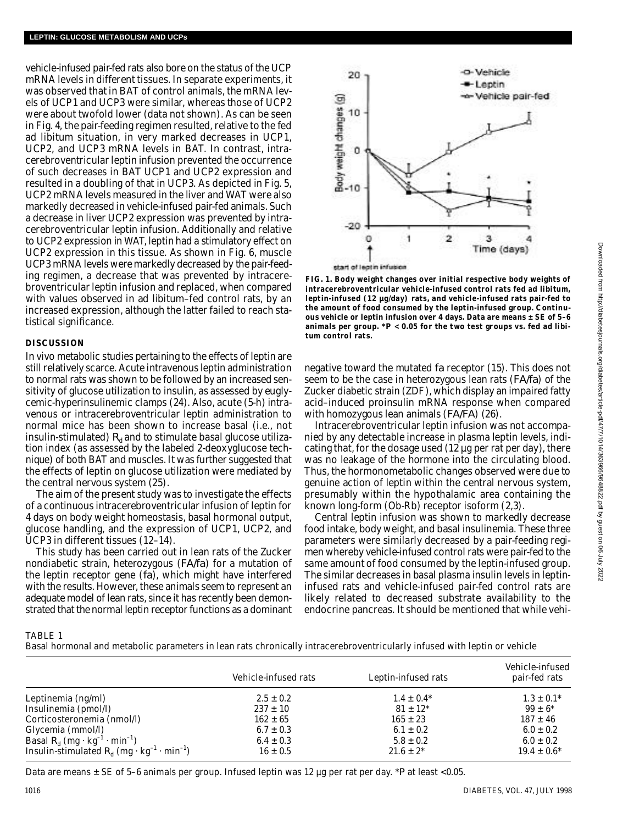vehicle-infused pair-fed rats also bore on the status of the UCP mRNA levels in different tissues. In separate experiments, it was observed that in BAT of control animals, the mRNA levels of UCP1 and UCP3 were similar, whereas those of UCP2 were about twofold lower (data not shown). As can be seen in Fig. 4, the pair-feeding regimen resulted, relative to the fed ad libitum situation, in very marked decreases in UCP1, UCP2, and UCP3 mRNA levels in BAT. In contrast, intracerebroventricular leptin infusion prevented the occurrence of such decreases in BAT UCP1 and UCP2 expression and resulted in a doubling of that in UCP3. As depicted in Fig. 5, UCP2 mRNA levels measured in the liver and WAT were also markedly decreased in vehicle-infused pair-fed animals. Such a decrease in liver UCP2 expression was prevented by intracerebroventricular leptin infusion. Additionally and relative to UCP2 expression in WAT, leptin had a stimulatory effect on UCP2 expression in this tissue. As shown in Fig. 6, muscle UCP3 mRNA levels were markedly decreased by the pair-feeding regimen, a decrease that was prevented by intracerebroventricular leptin infusion and replaced, when compared with values observed in ad libitum–fed control rats, by an increased expression, although the latter failed to reach statistical significance.

## **DISCUSSION**

In vivo metabolic studies pertaining to the effects of leptin are still relatively scarce. Acute intravenous leptin administration to normal rats was shown to be followed by an increased sensitivity of glucose utilization to insulin, as assessed by euglycemic-hyperinsulinemic clamps (24). Also, acute (5-h) intravenous or intracerebroventricular leptin administration to normal mice has been shown to increase basal (i.e., not insulin-stimulated)  $R_d$  and to stimulate basal glucose utilization index (as assessed by the labeled 2-deoxyglucose technique) of both BAT and muscles. It was further suggested that the effects of leptin on glucose utilization were mediated by the central nervous system (25).

The aim of the present study was to investigate the effects of a continuous intracerebroventricular infusion of leptin for 4 days on body weight homeostasis, basal hormonal output, glucose handling, and the expression of UCP1, UCP2, and UCP3 in different tissues (12–14).

This study has been carried out in lean rats of the Zucker nondiabetic strain, heterozygous (*FA/fa*) for a mutation of the leptin receptor gene (*fa*), which might have interfered with the results. However, these animals seem to represent an adequate model of lean rats, since it has recently been demonstrated that the normal leptin receptor functions as a dominant



**FIG. 1. Body weight changes over initial respective body weights of intracerebroventricular vehicle-infused control rats fed ad libitum, leptin-infused (12 µg/day) rats, and vehicle-infused rats pair-fed to the amount of food consumed by the leptin-infused group. Continuous vehicle or leptin infusion over 4 days. Data are means ± SE of 5–6 animals per group. \****P* **< 0.05 for the two test groups vs. fed ad libitum control rats.**

negative toward the mutated *fa* receptor (15). This does not seem to be the case in heterozygous lean rats (*FA/fa*) of the Zucker diabetic strain (ZDF), which display an impaired fatty acid–induced proinsulin mRNA response when compared with homozygous lean animals (*FA/FA*) (26).

Intracerebroventricular leptin infusion was not accompanied by any detectable increase in plasma leptin levels, indicating that, for the dosage used (12 µg per rat per day), there was no leakage of the hormone into the circulating blood. Thus, the hormonometabolic changes observed were due to genuine action of leptin within the central nervous system, presumably within the hypothalamic area containing the known long-form (Ob-Rb) receptor isoform (2,3).

Central leptin infusion was shown to markedly decrease food intake, body weight, and basal insulinemia. These three parameters were similarly decreased by a pair-feeding regimen whereby vehicle-infused control rats were pair-fed to the same amount of food consumed by the leptin-infused group. The similar decreases in basal plasma insulin levels in leptininfused rats and vehicle-infused pair-fed control rats are likely related to decreased substrate availability to the endocrine pancreas. It should be mentioned that while vehi-

Basal hormonal and metabolic parameters in lean rats chronically intracerebroventricularly infused with leptin or vehicle

|                                                                                     | Vehicle-infused rats | Leptin-infused rats | Vehicle-infused<br>pair-fed rats |
|-------------------------------------------------------------------------------------|----------------------|---------------------|----------------------------------|
| Leptinemia (ng/ml)                                                                  | $2.5 \pm 0.2$        | $1.4 \pm 0.4*$      | $1.3 \pm 0.1^*$                  |
| Insulinemia (pmol/l)                                                                | $237 \pm 10$         | $81 \pm 12^{*}$     | $99 \pm 6*$                      |
| Corticosteronemia (nmol/l)                                                          | $162 \pm 65$         | $165 \pm 23$        | $187 \pm 46$                     |
| Glycemia (mmol/l)                                                                   | $6.7 \pm 0.3$        | $6.1 \pm 0.2$       | $6.0 \pm 0.2$                    |
| Basal $R_{\rm d}$ (mg $\cdot$ kg <sup>-1</sup> $\cdot$ min <sup>-1</sup> )          | $6.4 \pm 0.3$        | $5.8 \pm 0.2$       | $6.0 \pm 0.2$                    |
| Insulin-stimulated $R_{d}$ (mg $\cdot$ kg <sup>-1</sup> $\cdot$ min <sup>-1</sup> ) | $16 \pm 0.5$         | $21.6 \pm 2^{*}$    | $19.4 \pm 0.6*$                  |

Data are means ± SE of 5–6 animals per group. Infused leptin was 12 µg per rat per day. \**P* at least <0.05.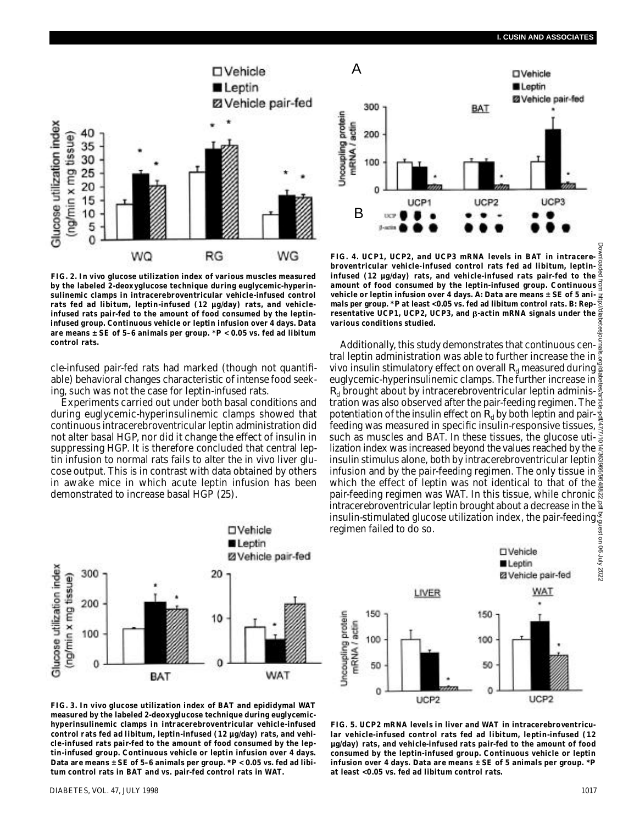

**FIG. 2. In vivo glucose utilization index of various muscles measured by the labeled 2-deoxyglucose technique during euglycemic-hyperinsulinemic clamps in intracerebroventricular vehicle-infused control rats fed ad libitum, leptin-infused (12 µg/day) rats, and vehicleinfused rats pair-fed to the amount of food consumed by the leptininfused group. Continuous vehicle or leptin infusion over 4 days. Data are means ± SE of 5–6 animals per group. \****P* **< 0.05 vs. fed ad libitum control rats.**

cle-infused pair-fed rats had marked (though not quantifiable) behavioral changes characteristic of intense food seeking, such was not the case for leptin-infused rats.

Experiments carried out under both basal conditions and during euglycemic-hyperinsulinemic clamps showed that continuous intracerebroventricular leptin administration did not alter basal HGP, nor did it change the effect of insulin in suppressing HGP. It is therefore concluded that central leptin infusion to normal rats fails to alter the in vivo liver glucose output. This is in contrast with data obtained by others in awake mice in which acute leptin infusion has been demonstrated to increase basal HGP (25).



**FIG. 4. UCP1, UCP2, and UCP3 mRNA levels in BAT in intracerebroventricular vehicle-infused control rats fed ad libitum, leptininfused (12 µg/day) rats, and vehicle-infused rats pair-fed to the amount of food consumed by the leptin-infused group. Continuous vehicle or leptin infusion over 4 days.** *A***: Data are means ± SE of 5 animals per group. \****P* **at least <0.05 vs. fed ad libitum control rats.** *B***: Representative UCP1, UCP2, UCP3, and β-actin mRNA signals under the various conditions studied.**

Additionally, this study demonstrates that continuous central leptin administration was able to further increase the in vivo insulin stimulatory effect on overall  $R_{\rm d}$  measured during euglycemic-hyperinsulinemic clamps. The further increase in  $R_{d}$  brought about by intracerebroventricular leptin administration was also observed after the pair-feeding regimen. The potentiation of the insulin effect on  $R_d$  by both leptin and pair- $\frac{3}{2}$ feeding was measured in specific insulin-responsive tissues,  $\frac{3}{5}$ such as muscles and BAT. In these tissues, the glucose utilization index was increased beyond the values reached by the  $\frac{3}{2}$ insulin stimulus alone, both by intracerebroventricular leptin  $\tilde{\ddot{\mathbb{g}}}$ infusion and by the pair-feeding regimen. The only tissue in  $\frac{8}{3}$ which the effect of leptin was not identical to that of the  $\frac{8}{8}$ pair-feeding regimen was WAT. In this tissue, while chronic intracerebroventricular leptin brought about a decrease in the insulin-stimulated glucose utilization index, the pair-feeding regimen failed to do so. Downloaded from http://diabetesjournals.org/diabetes/article-pdf/47/7/1014/363966/9648822.pdf by guest on 06 July 2022





**FIG. 3. In vivo glucose utilization index of BAT and epididymal WAT measured by the labeled 2-deoxyglucose technique during euglycemichyperinsulinemic clamps in intracerebroventricular vehicle-infused control rats fed ad libitum, leptin-infused (12 µg/day) rats, and vehicle-infused rats pair-fed to the amount of food consumed by the leptin-infused group. Continuous vehicle or leptin infusion over 4 days. Data are means ± SE of 5–6 animals per group. \****P* **< 0.05 vs. fed ad libitum control rats in BAT and vs. pair-fed control rats in WAT.**

**FIG. 5. UCP2 mRNA levels in liver and WAT in intracerebroventricular vehicle-infused control rats fed ad libitum, leptin-infused (12 µg/day) rats, and vehicle-infused rats pair-fed to the amount of food consumed by the leptin-infused group. Continuous vehicle or leptin infusion over 4 days. Data are means ± SE of 5 animals per group. \****P* **at least <0.05 vs. fed ad libitum control rats.**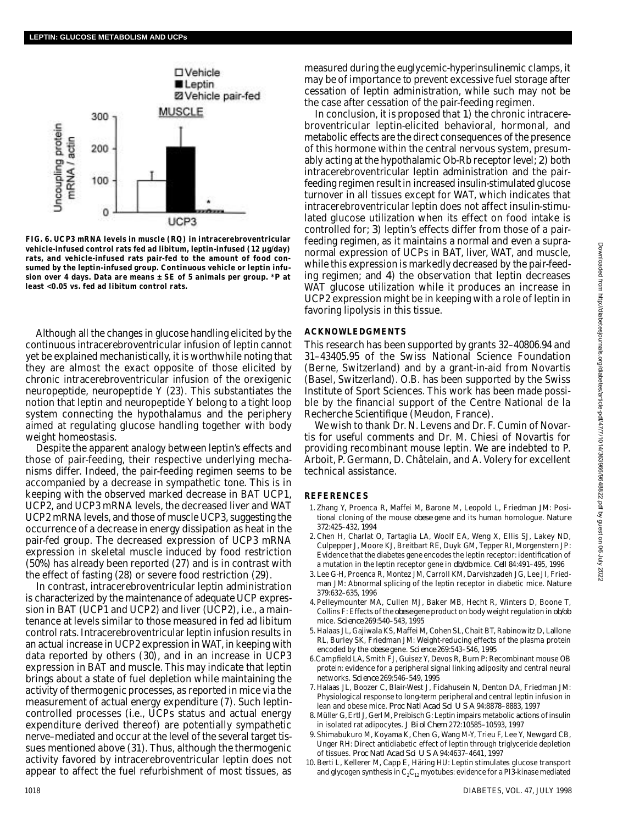

**FIG. 6. UCP3 mRNA levels in muscle (RQ) in intracerebroventricular vehicle-infused control rats fed ad libitum, leptin-infused (12 µg/day) rats, and vehicle-infused rats pair-fed to the amount of food consumed by the leptin-infused group. Continuous vehicle or leptin infu**sion over 4 days. Data are means ± SE of 5 animals per group. \**P* at **least <0.05 vs. fed ad libitum control rats.**

Although all the changes in glucose handling elicited by the continuous intracerebroventricular infusion of leptin cannot yet be explained mechanistically, it is worthwhile noting that they are almost the exact opposite of those elicited by chronic intracerebroventricular infusion of the orexigenic neuropeptide, neuropeptide Y (23). This substantiates the notion that leptin and neuropeptide Y belong to a tight loop system connecting the hypothalamus and the periphery aimed at regulating glucose handling together with body weight homeostasis.

Despite the apparent analogy between leptin's effects and those of pair-feeding, their respective underlying mechanisms differ. Indeed, the pair-feeding regimen seems to be accompanied by a decrease in sympathetic tone. This is in keeping with the observed marked decrease in BAT UCP1, UCP2, and UCP3 mRNA levels, the decreased liver and WAT UCP2 mRNA levels, and those of muscle UCP3, suggesting the occurrence of a decrease in energy dissipation as heat in the pair-fed group. The decreased expression of UCP3 mRNA expression in skeletal muscle induced by food restriction (50%) has already been reported (27) and is in contrast with the effect of fasting (28) or severe food restriction (29).

In contrast, intracerebroventricular leptin administration is characterized by the maintenance of adequate UCP expression in BAT (UCP1 and UCP2) and liver (UCP2), i.e., a maintenance at levels similar to those measured in fed ad libitum control rats. Intracerebroventricular leptin infusion results in an actual increase in UCP2 expression in WAT, in keeping with data reported by others (30), and in an increase in UCP3 expression in BAT and muscle. This may indicate that leptin brings about a state of fuel depletion while maintaining the activity of thermogenic processes, as reported in mice via the measurement of actual energy expenditure (7). Such leptincontrolled processes (i.e., UCPs status and actual energy expenditure derived thereof) are potentially sympathetic nerve–mediated and occur at the level of the several target tissues mentioned above (31). Thus, although the thermogenic activity favored by intracerebroventricular leptin does not appear to affect the fuel refurbishment of most tissues, as

measured during the euglycemic-hyperinsulinemic clamps, it may be of importance to prevent excessive fuel storage after cessation of leptin administration, while such may not be the case after cessation of the pair-feeding regimen.

In conclusion, it is proposed that *1*) the chronic intracerebroventricular leptin-elicited behavioral, hormonal, and metabolic effects are the direct consequences of the presence of this hormone within the central nervous system, presumably acting at the hypothalamic Ob-Rb receptor level; *2*) both intracerebroventricular leptin administration and the pairfeeding regimen result in increased insulin-stimulated glucose turnover in all tissues except for WAT, which indicates that intracerebroventricular leptin does not affect insulin-stimulated glucose utilization when its effect on food intake is controlled for; *3*) leptin's effects differ from those of a pairfeeding regimen, as it maintains a normal and even a supranormal expression of UCPs in BAT, liver, WAT, and muscle, while this expression is markedly decreased by the pair-feeding regimen; and *4*) the observation that leptin decreases WAT glucose utilization while it produces an increase in UCP2 expression might be in keeping with a role of leptin in favoring lipolysis in this tissue.

#### **ACKNOWLEDGMENTS**

This research has been supported by grants 32–40806.94 and 31–43405.95 of the Swiss National Science Foundation (Berne, Switzerland) and by a grant-in-aid from Novartis (Basel, Switzerland). O.B. has been supported by the Swiss Institute of Sport Sciences. This work has been made possible by the financial support of the Centre National de la Recherche Scientifique (Meudon, France).

We wish to thank Dr. N. Levens and Dr. F. Cumin of Novartis for useful comments and Dr. M. Chiesi of Novartis for providing recombinant mouse leptin. We are indebted to P. Arboit, P. Germann, D. Châtelain, and A. Volery for excellent technical assistance.

### **R E F E R E N C E S**

- 1. Zhang Y, Proenca R, Maffei M, Barone M, Leopold L, Friedman JM: Positional cloning of the mouse *obese* gene and its human homologue. Nature 372:425–432, 1994
- 2 . Chen H, Charlat O, Tartaglia LA, Woolf EA, Weng X, Ellis SJ, Lakey ND, Culpepper J, Moore KJ, Breitbart RE, Duyk GM, Tepper RI, Morgenstern JP: Evidence that the diabetes gene encodes the leptin receptor: identification of a mutation in the leptin receptor gene in  $db/db$  mice. *Cell* 84:491-495, 1996
- 3 . Lee G-H, Proenca R, Montez JM, Carroll KM, Darvishzadeh JG, Lee JI, Friedman JM: Abnormal splicing of the leptin receptor in diabetic mice. Nature 379:632–635, 1996
- 4 . Pelleymounter MA, Cullen MJ, Baker MB, Hecht R, Winters D, Boone T, Collins F: Effects of the *obese* gene product on body weight regulation in  $ob/ob$ mice. *S c i e n c e* 269:540–543, 1995
- 5 . Halaas JL, Gajiwala KS, Maffei M, Cohen SL, Chait BT, Rabinowitz D, Lallone RL, Burley SK, Friedman JM: Weight-reducing effects of the plasma protein encoded by the *obese* gene. *Science* 269:543-546, 1995
- 6. Campfield LA, Smith FJ, Guisez Y, Devos R, Burn P: Recombinant mouse OB protein: evidence for a peripheral signal linking adiposity and central neural networks. *Science* 269:546-549, 1995
- 7. Halaas JL, Boozer C, Blair-West J, Fidahusein N, Denton DA, Friedman JM: Physiological response to long-term peripheral and central leptin infusion in lean and obese mice. *Proc Natl Acad Sci U S A* 94:8878–8883, 1997
- 8 . Müller G, Ertl J, Gerl M, Preibisch G: Leptin impairs metabolic actions of insulin in isolated rat adipocytes. *J Biol Chem* 272:10585–10593, 1997
- 9 . Shimabukuro M, Koyama K, Chen G, Wang M-Y, Trieu F, Lee Y, Newgard CB, Unger RH: Direct antidiabetic effect of leptin through triglyceride depletion of tissues. *Proc Natl Acad Sci U S A* 94:4637–4641, 1997
- 10. Berti L, Kellerer M, Capp E, Häring HU: Leptin stimulates glucose transport and glycogen synthesis in  $C_2C_{12}$  myotubes: evidence for a PI3-kinase mediated